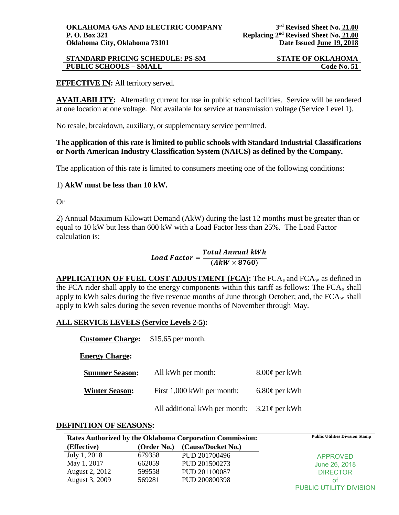# **STANDARD PRICING SCHEDULE: PS-SM STATE OF OKLAHOMA PUBLIC SCHOOLS – SMALL Code No. 51**

# **EFFECTIVE IN:** All territory served.

**AVAILABILITY:** Alternating current for use in public school facilities. Service will be rendered at one location at one voltage. Not available for service at transmission voltage (Service Level 1).

No resale, breakdown, auxiliary, or supplementary service permitted.

## **The application of this rate is limited to public schools with Standard Industrial Classifications or North American Industry Classification System (NAICS) as defined by the Company.**

The application of this rate is limited to consumers meeting one of the following conditions:

## 1) **AkW must be less than 10 kW.**

Or

2) Annual Maximum Kilowatt Demand (AkW) during the last 12 months must be greater than or equal to 10 kW but less than 600 kW with a Load Factor less than 25%. The Load Factor calculation is:

# $\small \textit{Load Factor} = \frac{\textit{Total Annual KWh}}{(\textit{A}\textit{kW} \times 8760)}$

**APPLICATION OF FUEL COST ADJUSTMENT (FCA):** The FCA<sub>s</sub> and FCA<sub>w</sub> as defined in the FCA rider shall apply to the energy components within this tariff as follows: The  $FCA<sub>s</sub>$  shall apply to kWh sales during the five revenue months of June through October; and, the  $FCA_w$  shall apply to kWh sales during the seven revenue months of November through May.

# **ALL SERVICE LEVELS (Service Levels 2-5):**

| <b>Customer Charge:</b> | $$15.65$ per month.           |                    |
|-------------------------|-------------------------------|--------------------|
| <b>Energy Charge:</b>   |                               |                    |
| <b>Summer Season:</b>   | All kWh per month:            | $8.00\phi$ per kWh |
| <b>Winter Season:</b>   | First 1,000 kWh per month:    | $6.80\phi$ per kWh |
|                         | All additional kWh per month: | $3.21\phi$ per kWh |

### **DEFINITION OF SEASONS:**

| Rates Authorized by the Oklahoma Corporation Commission: |             |                    | <b>Public Utilities Division Stamp</b> |
|----------------------------------------------------------|-------------|--------------------|----------------------------------------|
| (Effective)                                              | (Order No.) | (Cause/Docket No.) |                                        |
| July 1, 2018                                             | 679358      | PUD 201700496      | <b>APPROVED</b>                        |
| May 1, 2017                                              | 662059      | PUD 201500273      | June 26, 2018                          |
| August 2, 2012                                           | 599558      | PUD 201100087      | <b>DIRECTOR</b>                        |
| August 3, 2009                                           | 569281      | PUD 200800398      | ΩŤ                                     |
|                                                          |             |                    | PUBLIC UTILITY DIVISION                |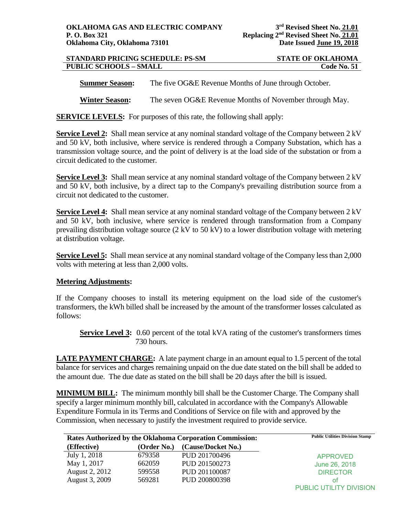| <b>STANDARD PRICING SCHEDULE: PS-SM</b> | <b>STATE OF OKLAHOMA</b> |
|-----------------------------------------|--------------------------|
| <b>PUBLIC SCHOOLS - SMALL</b>           | Code No. 51              |

**Summer Season:** The five OG&E Revenue Months of June through October.

**Winter Season:** The seven OG&E Revenue Months of November through May.

**SERVICE LEVELS:** For purposes of this rate, the following shall apply:

**Service Level 2:** Shall mean service at any nominal standard voltage of the Company between 2 kV and 50 kV, both inclusive, where service is rendered through a Company Substation, which has a transmission voltage source, and the point of delivery is at the load side of the substation or from a circuit dedicated to the customer.

**Service Level 3:** Shall mean service at any nominal standard voltage of the Company between 2 kV and 50 kV, both inclusive, by a direct tap to the Company's prevailing distribution source from a circuit not dedicated to the customer.

**Service Level 4:** Shall mean service at any nominal standard voltage of the Company between 2 kV and 50 kV, both inclusive, where service is rendered through transformation from a Company prevailing distribution voltage source (2 kV to 50 kV) to a lower distribution voltage with metering at distribution voltage.

**Service Level 5:** Shall mean service at any nominal standard voltage of the Company less than 2,000 volts with metering at less than 2,000 volts.

### **Metering Adjustments:**

If the Company chooses to install its metering equipment on the load side of the customer's transformers, the kWh billed shall be increased by the amount of the transformer losses calculated as follows:

**Service Level 3:** 0.60 percent of the total kVA rating of the customer's transformers times 730 hours.

**LATE PAYMENT CHARGE:** A late payment charge in an amount equal to 1.5 percent of the total balance for services and charges remaining unpaid on the due date stated on the bill shall be added to the amount due. The due date as stated on the bill shall be 20 days after the bill is issued.

**MINIMUM BILL:** The minimum monthly bill shall be the Customer Charge. The Company shall specify a larger minimum monthly bill, calculated in accordance with the Company's Allowable Expenditure Formula in its Terms and Conditions of Service on file with and approved by the Commission, when necessary to justify the investment required to provide service.

|                |             | Rates Authorized by the Oklahoma Corporation Commission: | <b>Public Utilities Division Stamp</b> |
|----------------|-------------|----------------------------------------------------------|----------------------------------------|
| (Effective)    | (Order No.) | (Cause/Docket No.)                                       |                                        |
| July 1, 2018   | 679358      | PUD 201700496                                            | <b>APPROVED</b>                        |
| May 1, 2017    | 662059      | PUD 201500273                                            | June 26, 2018                          |
| August 2, 2012 | 599558      | PUD 201100087                                            | <b>DIRECTOR</b>                        |
| August 3, 2009 | 569281      | PUD 200800398                                            | Ωt                                     |
|                |             |                                                          | <b>PUBLIC UTILITY DIVISION</b>         |